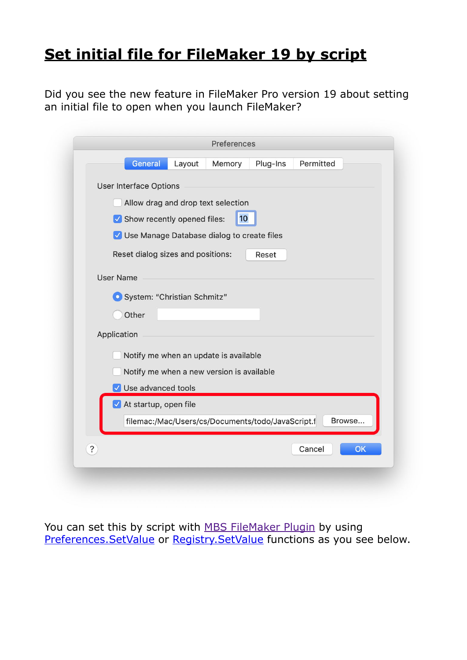## **[Set initial file for FileMaker 19 by script](https://www.mbs-plugins.com/archive/2020-06-17/Set_initial_file_for_FileMaker/monkeybreadsoftware_blog_filemaker)**

Did you see the new feature in FileMaker Pro version 19 about setting an initial file to open when you launch FileMaker?

|            | General<br>Plug-Ins<br>Permitted<br>Layout<br>Memory        |
|------------|-------------------------------------------------------------|
|            |                                                             |
|            | <b>User Interface Options</b>                               |
|            | Allow drag and drop text selection                          |
|            | 10<br>Show recently opened files:                           |
|            | V Use Manage Database dialog to create files                |
|            | Reset dialog sizes and positions:<br>Reset                  |
|            |                                                             |
|            | <b>User Name</b>                                            |
|            | System: "Christian Schmitz"                                 |
|            | Other                                                       |
|            | Application                                                 |
|            |                                                             |
|            | Notify me when an update is available                       |
|            | Notify me when a new version is available                   |
|            | V Use advanced tools                                        |
|            | At startup, open file                                       |
|            | filemac:/Mac/Users/cs/Documents/todo/JavaScript.f<br>Browse |
|            |                                                             |
| $\ddot{?}$ | OK<br>Cancel                                                |

You can set this by script with [MBS FileMaker Plugin](https://www.monkeybreadsoftware.com/filemaker/) by using [Preferences.SetValue](https://www.mbsplugins.eu/PreferencesSetValue.shtml) or [Registry.SetValue](https://www.mbsplugins.eu/RegistrySetValue.shtml) functions as you see below.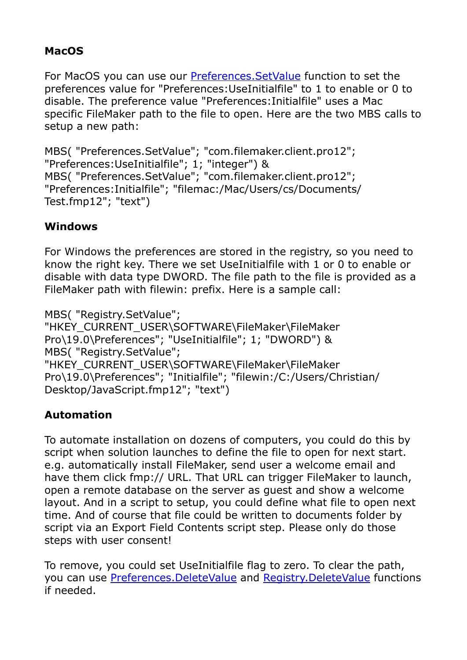## **MacOS**

For MacOS you can use our [Preferences.SetValue](https://www.mbsplugins.eu/PreferencesSetValue.shtml) function to set the preferences value for "Preferences:UseInitialfile" to 1 to enable or 0 to disable. The preference value "Preferences:Initialfile" uses a Mac specific FileMaker path to the file to open. Here are the two MBS calls to setup a new path:

MBS( "Preferences.SetValue"; "com.filemaker.client.pro12"; "Preferences:UseInitialfile"; 1; "integer") & MBS( "Preferences.SetValue"; "com.filemaker.client.pro12"; "Preferences:Initialfile"; "filemac:/Mac/Users/cs/Documents/ Test.fmp12"; "text")

## **Windows**

For Windows the preferences are stored in the registry, so you need to know the right key. There we set UseInitialfile with 1 or 0 to enable or disable with data type DWORD. The file path to the file is provided as a FileMaker path with filewin: prefix. Here is a sample call:

MBS( "Registry.SetValue"; "HKEY\_CURRENT\_USER\SOFTWARE\FileMaker\FileMaker Pro\19.0\Preferences"; "UseInitialfile"; 1; "DWORD") & MBS( "Registry.SetValue"; "HKEY\_CURRENT\_USER\SOFTWARE\FileMaker\FileMaker Pro\19.0\Preferences"; "Initialfile"; "filewin:/C:/Users/Christian/ Desktop/JavaScript.fmp12"; "text")

## **Automation**

To automate installation on dozens of computers, you could do this by script when solution launches to define the file to open for next start. e.g. automatically install FileMaker, send user a welcome email and have them click fmp:// URL. That URL can trigger FileMaker to launch, open a remote database on the server as guest and show a welcome layout. And in a script to setup, you could define what file to open next time. And of course that file could be written to documents folder by script via an Export Field Contents script step. Please only do those steps with user consent!

To remove, you could set UseInitialfile flag to zero. To clear the path, you can use [Preferences.DeleteValue](https://www.mbsplugins.eu/PreferencesDeleteValue.shtml) and [Registry.DeleteValue](https://www.mbsplugins.eu/RegistryDeleteValue.shtml) functions if needed.